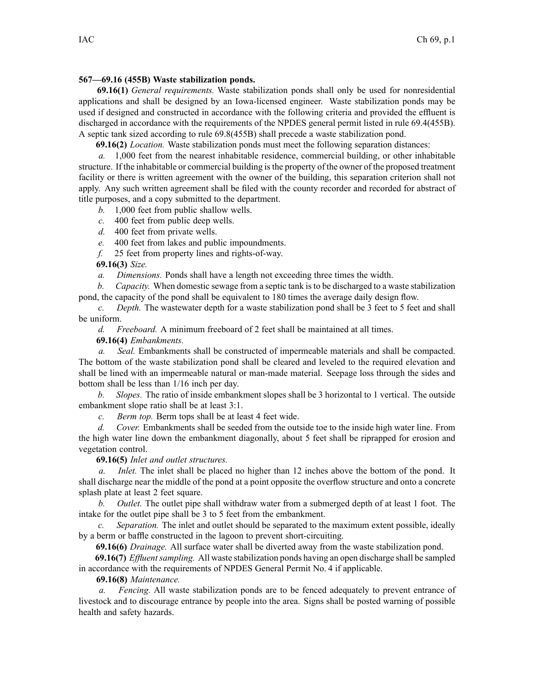## **567—69.16 (455B) Waste stabilization ponds.**

**69.16(1)** *General requirements.* Waste stabilization ponds shall only be used for nonresidential applications and shall be designed by an Iowa-licensed engineer. Waste stabilization ponds may be used if designed and constructed in accordance with the following criteria and provided the effluent is discharged in accordance with the requirements of the NPDES general permit listed in rule 69.4(455B). A septic tank sized according to rule 69.8(455B) shall precede <sup>a</sup> waste stabilization pond.

**69.16(2)** *Location.* Waste stabilization ponds must meet the following separation distances:

*a.* 1,000 feet from the nearest inhabitable residence, commercial building, or other inhabitable structure. If the inhabitable or commercial building isthe property of the owner of the proposed treatment facility or there is written agreemen<sup>t</sup> with the owner of the building, this separation criterion shall not apply. Any such written agreemen<sup>t</sup> shall be filed with the county recorder and recorded for abstract of title purposes, and <sup>a</sup> copy submitted to the department.

- *b.* 1,000 feet from public shallow wells.
- *c.* 400 feet from public deep wells.
- *d.* 400 feet from private wells.

*e.* 400 feet from lakes and public impoundments.

*f.* 25 feet from property lines and rights-of-way.

**69.16(3)** *Size.*

*a. Dimensions.* Ponds shall have <sup>a</sup> length not exceeding three times the width.

*b. Capacity.* When domestic sewage from <sup>a</sup> septic tank isto be discharged to <sup>a</sup> waste stabilization pond, the capacity of the pond shall be equivalent to 180 times the average daily design flow.

*c. Depth.* The wastewater depth for <sup>a</sup> waste stabilization pond shall be 3 feet to 5 feet and shall be uniform.

*d. Freeboard.* A minimum freeboard of 2 feet shall be maintained at all times.

**69.16(4)** *Embankments.*

*a. Seal.* Embankments shall be constructed of impermeable materials and shall be compacted. The bottom of the waste stabilization pond shall be cleared and leveled to the required elevation and shall be lined with an impermeable natural or man-made material. Seepage loss through the sides and bottom shall be less than 1/16 inch per day.

*b. Slopes.* The ratio of inside embankment slopes shall be 3 horizontal to 1 vertical. The outside embankment slope ratio shall be at least 3:1.

*c. Berm top.* Berm tops shall be at least 4 feet wide.

*d. Cover.* Embankments shall be seeded from the outside toe to the inside high water line. From the high water line down the embankment diagonally, about 5 feet shall be riprapped for erosion and vegetation control.

**69.16(5)** *Inlet and outlet structures.*

*a. Inlet.* The inlet shall be placed no higher than 12 inches above the bottom of the pond. It shall discharge near the middle of the pond at <sup>a</sup> point opposite the overflow structure and onto <sup>a</sup> concrete splash plate at least 2 feet square.

*b. Outlet.* The outlet pipe shall withdraw water from <sup>a</sup> submerged depth of at least 1 foot. The intake for the outlet pipe shall be 3 to 5 feet from the embankment.

*c. Separation.* The inlet and outlet should be separated to the maximum extent possible, ideally by <sup>a</sup> berm or baffle constructed in the lagoon to preven<sup>t</sup> short-circuiting.

**69.16(6)** *Drainage.* All surface water shall be diverted away from the waste stabilization pond.

**69.16(7)** *Effluentsampling.* All waste stabilization ponds having an open discharge shall be sampled in accordance with the requirements of NPDES General Permit No. 4 if applicable.

**69.16(8)** *Maintenance.*

*a. Fencing.* All waste stabilization ponds are to be fenced adequately to preven<sup>t</sup> entrance of livestock and to discourage entrance by people into the area. Signs shall be posted warning of possible health and safety hazards.